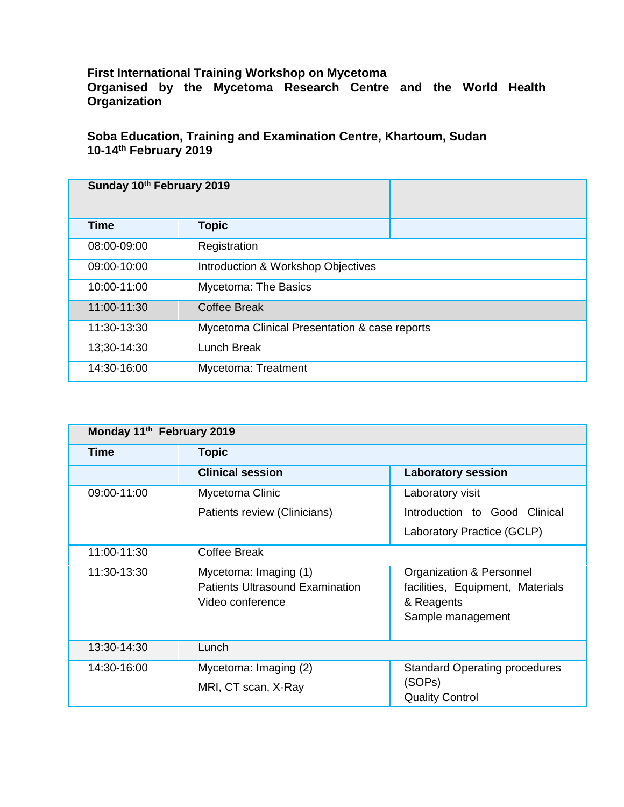## **First International Training Workshop on Mycetoma**

**Organised by the Mycetoma Research Centre and the World Health Organization**

## **Soba Education, Training and Examination Centre, Khartoum, Sudan 10-14th February 2019**

| Sunday 10th February 2019 |                                               |
|---------------------------|-----------------------------------------------|
| <b>Time</b>               | <b>Topic</b>                                  |
| 08:00-09:00               | Registration                                  |
| 09:00-10:00               | Introduction & Workshop Objectives            |
| 10:00-11:00               | Mycetoma: The Basics                          |
| 11:00-11:30               | <b>Coffee Break</b>                           |
| 11:30-13:30               | Mycetoma Clinical Presentation & case reports |
| 13;30-14:30               | <b>Lunch Break</b>                            |
| 14:30-16:00               | Mycetoma: Treatment                           |

| Monday 11th February 2019 |                                                                                     |                                                                                                 |  |
|---------------------------|-------------------------------------------------------------------------------------|-------------------------------------------------------------------------------------------------|--|
| <b>Time</b>               | <b>Topic</b>                                                                        |                                                                                                 |  |
|                           | <b>Clinical session</b>                                                             | <b>Laboratory session</b>                                                                       |  |
| 09:00-11:00               | Mycetoma Clinic                                                                     | Laboratory visit                                                                                |  |
|                           | Patients review (Clinicians)                                                        | Introduction to Good Clinical                                                                   |  |
|                           |                                                                                     | Laboratory Practice (GCLP)                                                                      |  |
| 11:00-11:30               | <b>Coffee Break</b>                                                                 |                                                                                                 |  |
| 11:30-13:30               | Mycetoma: Imaging (1)<br><b>Patients Ultrasound Examination</b><br>Video conference | Organization & Personnel<br>facilities, Equipment, Materials<br>& Reagents<br>Sample management |  |
| 13:30-14:30               | Lunch                                                                               |                                                                                                 |  |
| 14:30-16:00               | Mycetoma: Imaging (2)<br>MRI, CT scan, X-Ray                                        | <b>Standard Operating procedures</b><br>(SOPs)<br><b>Quality Control</b>                        |  |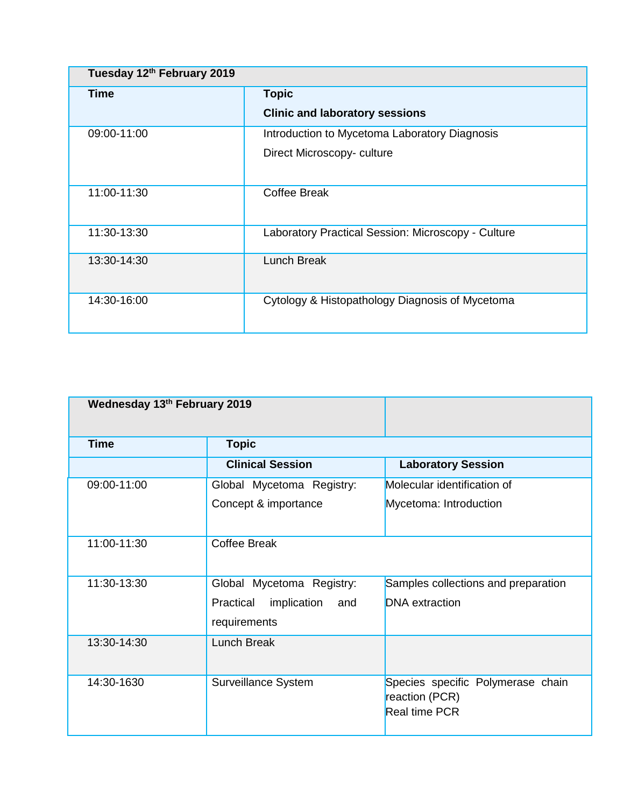| Tuesday 12th February 2019 |                                                    |  |
|----------------------------|----------------------------------------------------|--|
| Time                       | <b>Topic</b>                                       |  |
|                            | <b>Clinic and laboratory sessions</b>              |  |
| 09:00-11:00                | Introduction to Mycetoma Laboratory Diagnosis      |  |
|                            | Direct Microscopy-culture                          |  |
| 11:00-11:30                | Coffee Break                                       |  |
| 11:30-13:30                | Laboratory Practical Session: Microscopy - Culture |  |
| 13:30-14:30                | <b>Lunch Break</b>                                 |  |
| 14:30-16:00                | Cytology & Histopathology Diagnosis of Mycetoma    |  |

| Wednesday 13th February 2019 |                                 |                                                                             |  |
|------------------------------|---------------------------------|-----------------------------------------------------------------------------|--|
| <b>Time</b>                  | <b>Topic</b>                    |                                                                             |  |
|                              | <b>Clinical Session</b>         | <b>Laboratory Session</b>                                                   |  |
| 09:00-11:00                  | Global Mycetoma Registry:       | Molecular identification of                                                 |  |
|                              | Concept & importance            | Mycetoma: Introduction                                                      |  |
| 11:00-11:30                  | <b>Coffee Break</b>             |                                                                             |  |
| 11:30-13:30                  | Global Mycetoma Registry:       | Samples collections and preparation                                         |  |
|                              | Practical<br>implication<br>and | <b>DNA</b> extraction                                                       |  |
|                              | requirements                    |                                                                             |  |
| 13:30-14:30                  | <b>Lunch Break</b>              |                                                                             |  |
| 14:30-1630                   | Surveillance System             | Species specific Polymerase chain<br>reaction (PCR)<br><b>Real time PCR</b> |  |